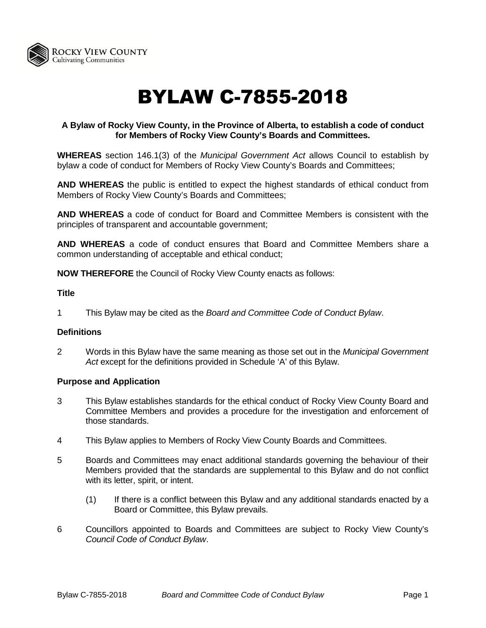

# BYLAW C-7855-2018

# **A Bylaw of Rocky View County, in the Province of Alberta, to establish a code of conduct for Members of Rocky View County's Boards and Committees.**

**WHEREAS** section 146.1(3) of the *Municipal Government Act* allows Council to establish by bylaw a code of conduct for Members of Rocky View County's Boards and Committees;

**AND WHEREAS** the public is entitled to expect the highest standards of ethical conduct from Members of Rocky View County's Boards and Committees;

**AND WHEREAS** a code of conduct for Board and Committee Members is consistent with the principles of transparent and accountable government;

**AND WHEREAS** a code of conduct ensures that Board and Committee Members share a common understanding of acceptable and ethical conduct;

**NOW THEREFORE** the Council of Rocky View County enacts as follows:

# **Title**

1 This Bylaw may be cited as the *Board and Committee Code of Conduct Bylaw*.

## **Definitions**

2 Words in this Bylaw have the same meaning as those set out in the *Municipal Government Act* except for the definitions provided in Schedule 'A' of this Bylaw.

## **Purpose and Application**

- 3 This Bylaw establishes standards for the ethical conduct of Rocky View County Board and Committee Members and provides a procedure for the investigation and enforcement of those standards.
- 4 This Bylaw applies to Members of Rocky View County Boards and Committees.
- 5 Boards and Committees may enact additional standards governing the behaviour of their Members provided that the standards are supplemental to this Bylaw and do not conflict with its letter, spirit, or intent.
	- (1) If there is a conflict between this Bylaw and any additional standards enacted by a Board or Committee, this Bylaw prevails.
- 6 Councillors appointed to Boards and Committees are subject to Rocky View County's *Council Code of Conduct Bylaw*.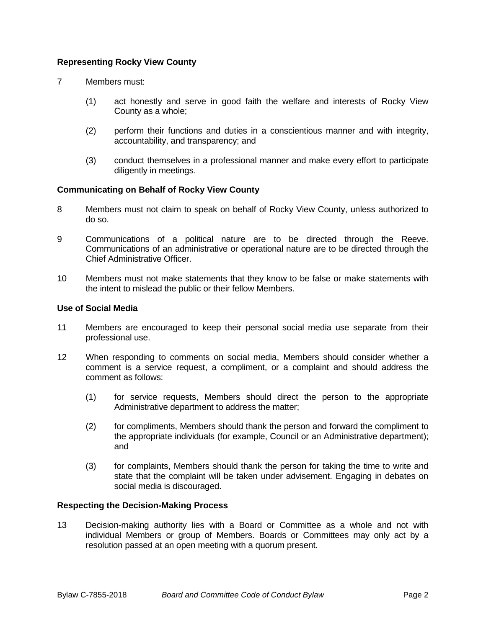# **Representing Rocky View County**

- 7 Members must:
	- (1) act honestly and serve in good faith the welfare and interests of Rocky View County as a whole;
	- (2) perform their functions and duties in a conscientious manner and with integrity, accountability, and transparency; and
	- (3) conduct themselves in a professional manner and make every effort to participate diligently in meetings.

## **Communicating on Behalf of Rocky View County**

- 8 Members must not claim to speak on behalf of Rocky View County, unless authorized to do so.
- 9 Communications of a political nature are to be directed through the Reeve. Communications of an administrative or operational nature are to be directed through the Chief Administrative Officer.
- 10 Members must not make statements that they know to be false or make statements with the intent to mislead the public or their fellow Members.

## **Use of Social Media**

- 11 Members are encouraged to keep their personal social media use separate from their professional use.
- 12 When responding to comments on social media, Members should consider whether a comment is a service request, a compliment, or a complaint and should address the comment as follows:
	- (1) for service requests, Members should direct the person to the appropriate Administrative department to address the matter;
	- (2) for compliments, Members should thank the person and forward the compliment to the appropriate individuals (for example, Council or an Administrative department); and
	- (3) for complaints, Members should thank the person for taking the time to write and state that the complaint will be taken under advisement. Engaging in debates on social media is discouraged.

## **Respecting the Decision-Making Process**

13 Decision-making authority lies with a Board or Committee as a whole and not with individual Members or group of Members. Boards or Committees may only act by a resolution passed at an open meeting with a quorum present.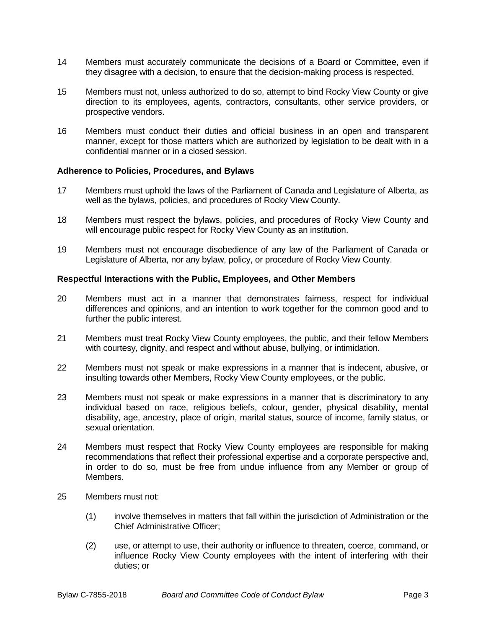- 14 Members must accurately communicate the decisions of a Board or Committee, even if they disagree with a decision, to ensure that the decision-making process is respected.
- 15 Members must not, unless authorized to do so, attempt to bind Rocky View County or give direction to its employees, agents, contractors, consultants, other service providers, or prospective vendors.
- 16 Members must conduct their duties and official business in an open and transparent manner, except for those matters which are authorized by legislation to be dealt with in a confidential manner or in a closed session.

## **Adherence to Policies, Procedures, and Bylaws**

- 17 Members must uphold the laws of the Parliament of Canada and Legislature of Alberta, as well as the bylaws, policies, and procedures of Rocky View County.
- 18 Members must respect the bylaws, policies, and procedures of Rocky View County and will encourage public respect for Rocky View County as an institution.
- 19 Members must not encourage disobedience of any law of the Parliament of Canada or Legislature of Alberta, nor any bylaw, policy, or procedure of Rocky View County.

#### **Respectful Interactions with the Public, Employees, and Other Members**

- 20 Members must act in a manner that demonstrates fairness, respect for individual differences and opinions, and an intention to work together for the common good and to further the public interest.
- 21 Members must treat Rocky View County employees, the public, and their fellow Members with courtesy, dignity, and respect and without abuse, bullying, or intimidation.
- 22 Members must not speak or make expressions in a manner that is indecent, abusive, or insulting towards other Members, Rocky View County employees, or the public.
- 23 Members must not speak or make expressions in a manner that is discriminatory to any individual based on race, religious beliefs, colour, gender, physical disability, mental disability, age, ancestry, place of origin, marital status, source of income, family status, or sexual orientation.
- 24 Members must respect that Rocky View County employees are responsible for making recommendations that reflect their professional expertise and a corporate perspective and, in order to do so, must be free from undue influence from any Member or group of Members.
- 25 Members must not:
	- (1) involve themselves in matters that fall within the jurisdiction of Administration or the Chief Administrative Officer;
	- (2) use, or attempt to use, their authority or influence to threaten, coerce, command, or influence Rocky View County employees with the intent of interfering with their duties; or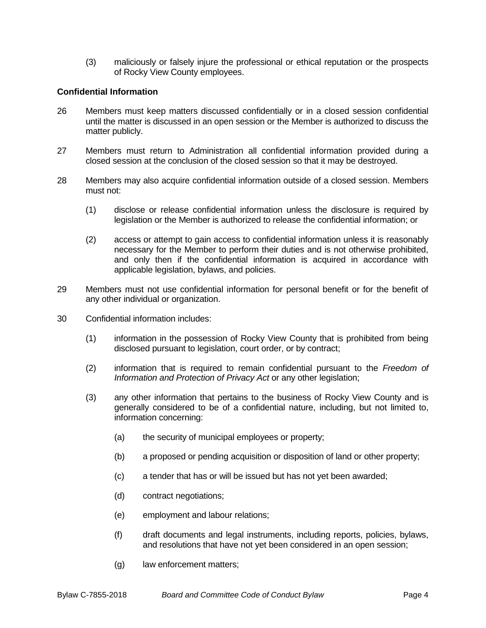(3) maliciously or falsely injure the professional or ethical reputation or the prospects of Rocky View County employees.

## **Confidential Information**

- 26 Members must keep matters discussed confidentially or in a closed session confidential until the matter is discussed in an open session or the Member is authorized to discuss the matter publicly.
- 27 Members must return to Administration all confidential information provided during a closed session at the conclusion of the closed session so that it may be destroyed.
- 28 Members may also acquire confidential information outside of a closed session. Members must not:
	- (1) disclose or release confidential information unless the disclosure is required by legislation or the Member is authorized to release the confidential information; or
	- (2) access or attempt to gain access to confidential information unless it is reasonably necessary for the Member to perform their duties and is not otherwise prohibited, and only then if the confidential information is acquired in accordance with applicable legislation, bylaws, and policies.
- 29 Members must not use confidential information for personal benefit or for the benefit of any other individual or organization.
- 30 Confidential information includes:
	- (1) information in the possession of Rocky View County that is prohibited from being disclosed pursuant to legislation, court order, or by contract;
	- (2) information that is required to remain confidential pursuant to the *Freedom of Information and Protection of Privacy Act* or any other legislation;
	- (3) any other information that pertains to the business of Rocky View County and is generally considered to be of a confidential nature, including, but not limited to, information concerning:
		- (a) the security of municipal employees or property;
		- (b) a proposed or pending acquisition or disposition of land or other property;
		- (c) a tender that has or will be issued but has not yet been awarded;
		- (d) contract negotiations;
		- (e) employment and labour relations;
		- (f) draft documents and legal instruments, including reports, policies, bylaws, and resolutions that have not yet been considered in an open session;
		- (g) law enforcement matters;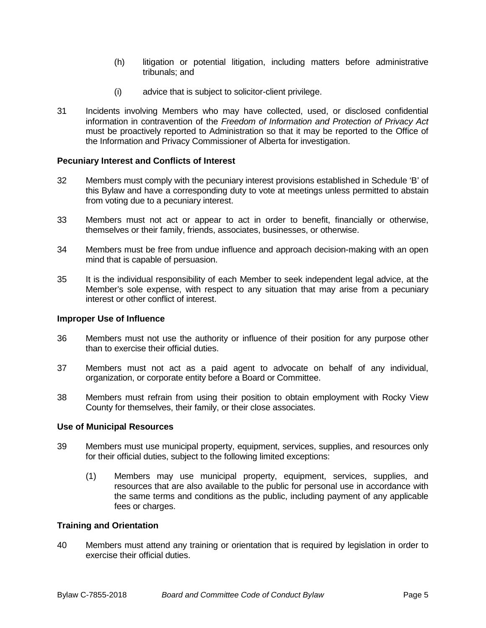- (h) litigation or potential litigation, including matters before administrative tribunals; and
- (i) advice that is subject to solicitor-client privilege.
- 31 Incidents involving Members who may have collected, used, or disclosed confidential information in contravention of the *Freedom of Information and Protection of Privacy Act* must be proactively reported to Administration so that it may be reported to the Office of the Information and Privacy Commissioner of Alberta for investigation.

## **Pecuniary Interest and Conflicts of Interest**

- 32 Members must comply with the pecuniary interest provisions established in Schedule 'B' of this Bylaw and have a corresponding duty to vote at meetings unless permitted to abstain from voting due to a pecuniary interest.
- 33 Members must not act or appear to act in order to benefit, financially or otherwise, themselves or their family, friends, associates, businesses, or otherwise.
- 34 Members must be free from undue influence and approach decision-making with an open mind that is capable of persuasion.
- 35 It is the individual responsibility of each Member to seek independent legal advice, at the Member's sole expense, with respect to any situation that may arise from a pecuniary interest or other conflict of interest.

## **Improper Use of Influence**

- 36 Members must not use the authority or influence of their position for any purpose other than to exercise their official duties.
- 37 Members must not act as a paid agent to advocate on behalf of any individual, organization, or corporate entity before a Board or Committee.
- 38 Members must refrain from using their position to obtain employment with Rocky View County for themselves, their family, or their close associates.

#### **Use of Municipal Resources**

- 39 Members must use municipal property, equipment, services, supplies, and resources only for their official duties, subject to the following limited exceptions:
	- (1) Members may use municipal property, equipment, services, supplies, and resources that are also available to the public for personal use in accordance with the same terms and conditions as the public, including payment of any applicable fees or charges.

#### **Training and Orientation**

40 Members must attend any training or orientation that is required by legislation in order to exercise their official duties.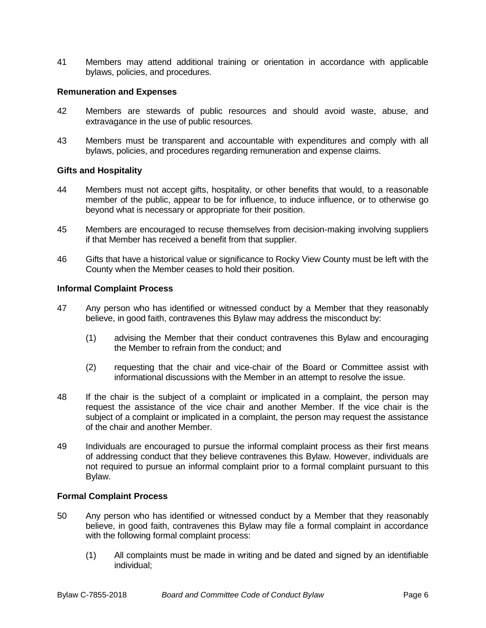41 Members may attend additional training or orientation in accordance with applicable bylaws, policies, and procedures.

## **Remuneration and Expenses**

- 42 Members are stewards of public resources and should avoid waste, abuse, and extravagance in the use of public resources.
- 43 Members must be transparent and accountable with expenditures and comply with all bylaws, policies, and procedures regarding remuneration and expense claims.

## **Gifts and Hospitality**

- 44 Members must not accept gifts, hospitality, or other benefits that would, to a reasonable member of the public, appear to be for influence, to induce influence, or to otherwise go beyond what is necessary or appropriate for their position.
- 45 Members are encouraged to recuse themselves from decision-making involving suppliers if that Member has received a benefit from that supplier.
- 46 Gifts that have a historical value or significance to Rocky View County must be left with the County when the Member ceases to hold their position.

## **Informal Complaint Process**

- 47 Any person who has identified or witnessed conduct by a Member that they reasonably believe, in good faith, contravenes this Bylaw may address the misconduct by:
	- (1) advising the Member that their conduct contravenes this Bylaw and encouraging the Member to refrain from the conduct; and
	- (2) requesting that the chair and vice-chair of the Board or Committee assist with informational discussions with the Member in an attempt to resolve the issue.
- 48 If the chair is the subject of a complaint or implicated in a complaint, the person may request the assistance of the vice chair and another Member. If the vice chair is the subject of a complaint or implicated in a complaint, the person may request the assistance of the chair and another Member.
- 49 Individuals are encouraged to pursue the informal complaint process as their first means of addressing conduct that they believe contravenes this Bylaw. However, individuals are not required to pursue an informal complaint prior to a formal complaint pursuant to this Bylaw.

## **Formal Complaint Process**

- 50 Any person who has identified or witnessed conduct by a Member that they reasonably believe, in good faith, contravenes this Bylaw may file a formal complaint in accordance with the following formal complaint process:
	- (1) All complaints must be made in writing and be dated and signed by an identifiable individual;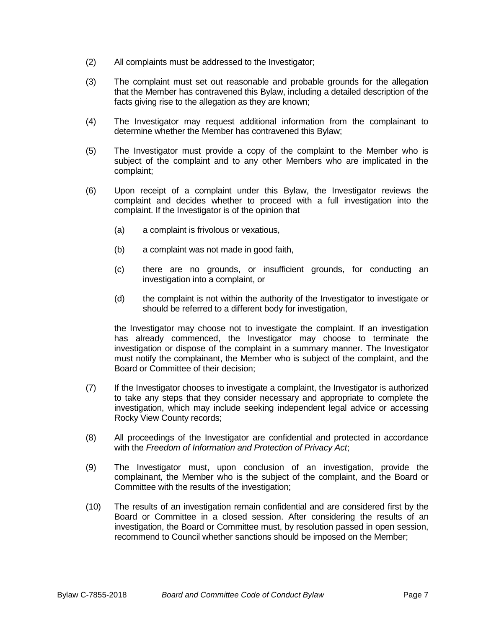- (2) All complaints must be addressed to the Investigator;
- (3) The complaint must set out reasonable and probable grounds for the allegation that the Member has contravened this Bylaw, including a detailed description of the facts giving rise to the allegation as they are known;
- (4) The Investigator may request additional information from the complainant to determine whether the Member has contravened this Bylaw;
- (5) The Investigator must provide a copy of the complaint to the Member who is subject of the complaint and to any other Members who are implicated in the complaint;
- (6) Upon receipt of a complaint under this Bylaw, the Investigator reviews the complaint and decides whether to proceed with a full investigation into the complaint. If the Investigator is of the opinion that
	- (a) a complaint is frivolous or vexatious,
	- (b) a complaint was not made in good faith,
	- (c) there are no grounds, or insufficient grounds, for conducting an investigation into a complaint, or
	- (d) the complaint is not within the authority of the Investigator to investigate or should be referred to a different body for investigation,

the Investigator may choose not to investigate the complaint. If an investigation has already commenced, the Investigator may choose to terminate the investigation or dispose of the complaint in a summary manner. The Investigator must notify the complainant, the Member who is subject of the complaint, and the Board or Committee of their decision;

- (7) If the Investigator chooses to investigate a complaint, the Investigator is authorized to take any steps that they consider necessary and appropriate to complete the investigation, which may include seeking independent legal advice or accessing Rocky View County records;
- (8) All proceedings of the Investigator are confidential and protected in accordance with the *Freedom of Information and Protection of Privacy Act*;
- (9) The Investigator must, upon conclusion of an investigation, provide the complainant, the Member who is the subject of the complaint, and the Board or Committee with the results of the investigation;
- (10) The results of an investigation remain confidential and are considered first by the Board or Committee in a closed session. After considering the results of an investigation, the Board or Committee must, by resolution passed in open session, recommend to Council whether sanctions should be imposed on the Member;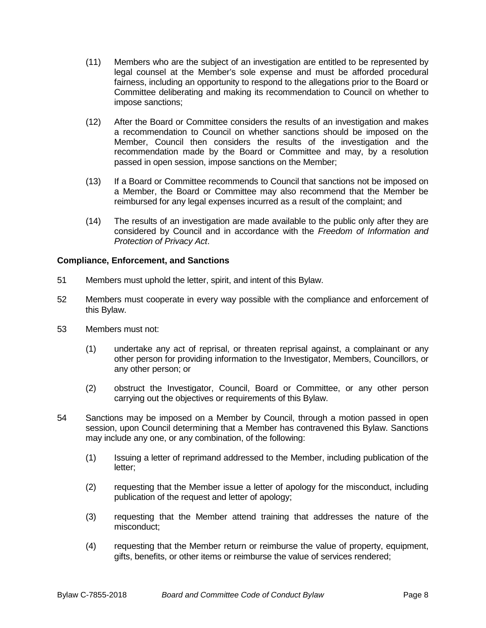- (11) Members who are the subject of an investigation are entitled to be represented by legal counsel at the Member's sole expense and must be afforded procedural fairness, including an opportunity to respond to the allegations prior to the Board or Committee deliberating and making its recommendation to Council on whether to impose sanctions;
- (12) After the Board or Committee considers the results of an investigation and makes a recommendation to Council on whether sanctions should be imposed on the Member, Council then considers the results of the investigation and the recommendation made by the Board or Committee and may, by a resolution passed in open session, impose sanctions on the Member;
- (13) If a Board or Committee recommends to Council that sanctions not be imposed on a Member, the Board or Committee may also recommend that the Member be reimbursed for any legal expenses incurred as a result of the complaint; and
- (14) The results of an investigation are made available to the public only after they are considered by Council and in accordance with the *Freedom of Information and Protection of Privacy Act*.

# **Compliance, Enforcement, and Sanctions**

- 51 Members must uphold the letter, spirit, and intent of this Bylaw.
- 52 Members must cooperate in every way possible with the compliance and enforcement of this Bylaw.
- 53 Members must not:
	- (1) undertake any act of reprisal, or threaten reprisal against, a complainant or any other person for providing information to the Investigator, Members, Councillors, or any other person; or
	- (2) obstruct the Investigator, Council, Board or Committee, or any other person carrying out the objectives or requirements of this Bylaw.
- 54 Sanctions may be imposed on a Member by Council, through a motion passed in open session, upon Council determining that a Member has contravened this Bylaw. Sanctions may include any one, or any combination, of the following:
	- (1) Issuing a letter of reprimand addressed to the Member, including publication of the letter;
	- (2) requesting that the Member issue a letter of apology for the misconduct, including publication of the request and letter of apology;
	- (3) requesting that the Member attend training that addresses the nature of the misconduct;
	- (4) requesting that the Member return or reimburse the value of property, equipment, gifts, benefits, or other items or reimburse the value of services rendered;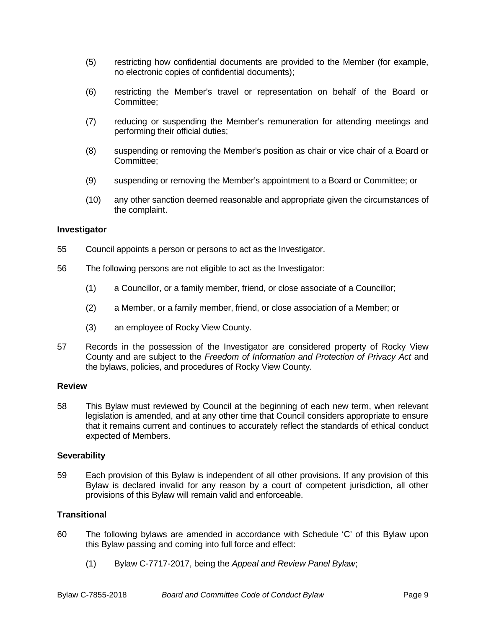- (5) restricting how confidential documents are provided to the Member (for example, no electronic copies of confidential documents);
- (6) restricting the Member's travel or representation on behalf of the Board or Committee;
- (7) reducing or suspending the Member's remuneration for attending meetings and performing their official duties;
- (8) suspending or removing the Member's position as chair or vice chair of a Board or Committee;
- (9) suspending or removing the Member's appointment to a Board or Committee; or
- (10) any other sanction deemed reasonable and appropriate given the circumstances of the complaint.

## **Investigator**

- 55 Council appoints a person or persons to act as the Investigator.
- 56 The following persons are not eligible to act as the Investigator:
	- (1) a Councillor, or a family member, friend, or close associate of a Councillor;
	- (2) a Member, or a family member, friend, or close association of a Member; or
	- (3) an employee of Rocky View County.
- 57 Records in the possession of the Investigator are considered property of Rocky View County and are subject to the *Freedom of Information and Protection of Privacy Act* and the bylaws, policies, and procedures of Rocky View County.

## **Review**

58 This Bylaw must reviewed by Council at the beginning of each new term, when relevant legislation is amended, and at any other time that Council considers appropriate to ensure that it remains current and continues to accurately reflect the standards of ethical conduct expected of Members.

## **Severability**

59 Each provision of this Bylaw is independent of all other provisions. If any provision of this Bylaw is declared invalid for any reason by a court of competent jurisdiction, all other provisions of this Bylaw will remain valid and enforceable.

## **Transitional**

- 60 The following bylaws are amended in accordance with Schedule 'C' of this Bylaw upon this Bylaw passing and coming into full force and effect:
	- (1) Bylaw C-7717-2017, being the *Appeal and Review Panel Bylaw*;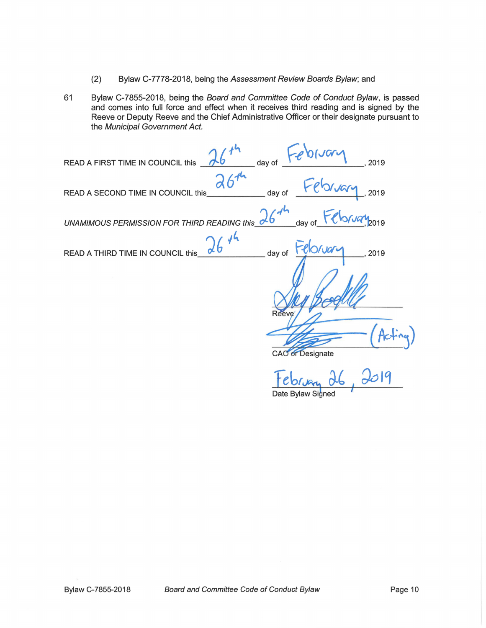- (2) Bylaw C-7778-2018, being the Assessment Review Boards Bylaw; and
- 61 Bylaw C-7855-2018, being the Board and Committee Code of Conduct Bylaw, is passed and comes into full force and effect when it receives third reading and is signed by the Reeve or Deputy Reeve and the Chief Administrative Officer or their designate pursuant to the Municipal Government Act.

| -epinar<br>$\overline{\phantom{a}}$ day of<br>READ A FIRST TIME IN COUNCIL this<br>, 2019            |
|------------------------------------------------------------------------------------------------------|
| February 2019<br>day of<br>READ A SECOND TIME IN COUNCIL this                                        |
| 16th day of February 2019<br>UNAMIMOUS PERMISSION FOR THIRD READING this $\frac{\lambda b}{\lambda}$ |
| 1646<br>day of Feloruary<br>READ A THIRD TIME IN COUNCIL this<br>2019                                |
|                                                                                                      |
| <b>Reeve</b>                                                                                         |
|                                                                                                      |
| <b>CAO</b> or Designate                                                                              |
| tebruar                                                                                              |

Date Bylaw Signed

7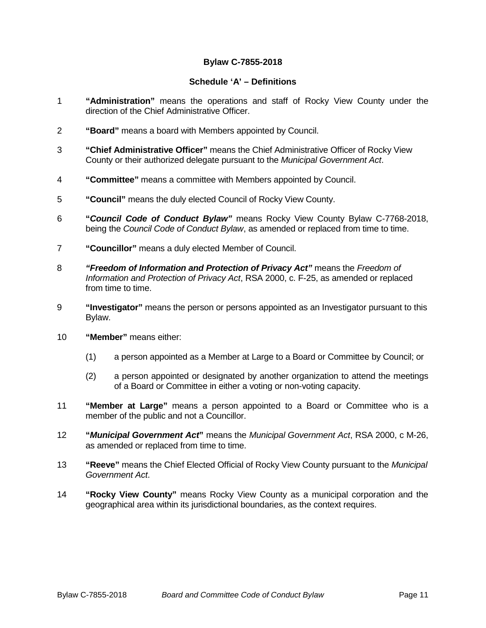# **Bylaw C-7855-2018**

## **Schedule 'A' – Definitions**

- 1 **"Administration"** means the operations and staff of Rocky View County under the direction of the Chief Administrative Officer.
- 2 **"Board"** means a board with Members appointed by Council.
- 3 **"Chief Administrative Officer"** means the Chief Administrative Officer of Rocky View County or their authorized delegate pursuant to the *Municipal Government Act*.
- 4 **"Committee"** means a committee with Members appointed by Council.
- 5 **"Council"** means the duly elected Council of Rocky View County.
- 6 **"***Council Code of Conduct Bylaw"* means Rocky View County Bylaw C-7768-2018, being the *Council Code of Conduct Bylaw*, as amended or replaced from time to time.
- 7 **"Councillor"** means a duly elected Member of Council.
- 8 *"Freedom of Information and Protection of Privacy Act"* means the *Freedom of Information and Protection of Privacy Act*, RSA 2000, c. F-25, as amended or replaced from time to time.
- 9 **"Investigator"** means the person or persons appointed as an Investigator pursuant to this Bylaw.
- 10 **"Member"** means either:
	- (1) a person appointed as a Member at Large to a Board or Committee by Council; or
	- (2) a person appointed or designated by another organization to attend the meetings of a Board or Committee in either a voting or non-voting capacity.
- 11 **"Member at Large"** means a person appointed to a Board or Committee who is a member of the public and not a Councillor.
- 12 **"***Municipal Government Act***"** means the *Municipal Government Act*, RSA 2000, c M-26, as amended or replaced from time to time.
- 13 **"Reeve"** means the Chief Elected Official of Rocky View County pursuant to the *Municipal Government Act*.
- 14 **"Rocky View County"** means Rocky View County as a municipal corporation and the geographical area within its jurisdictional boundaries, as the context requires.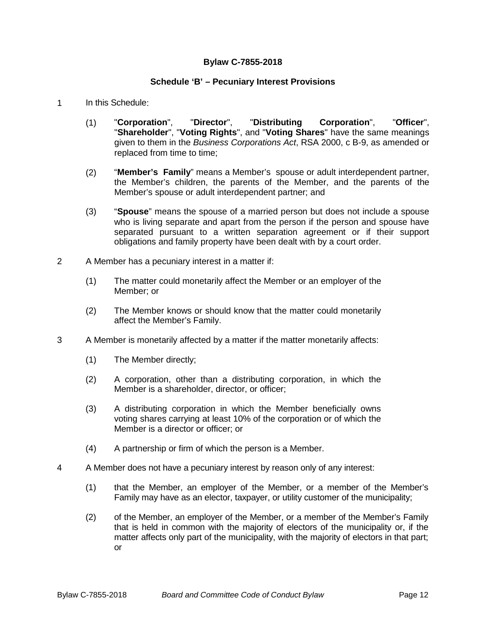## **Bylaw C-7855-2018**

## **Schedule 'B' – Pecuniary Interest Provisions**

- 1 In this Schedule:
	- (1) "**Corporation**", "**Director**", "**Distributing Corporation**", "**Officer**", "**Shareholder**", "**Voting Rights**", and "**Voting Shares**" have the same meanings given to them in the *Business Corporations Act*, RSA 2000, c B-9, as amended or replaced from time to time;
	- (2) "**Member's Family**" means a Member's spouse or adult interdependent partner, the Member's children, the parents of the Member, and the parents of the Member's spouse or adult interdependent partner; and
	- (3) "**Spouse**" means the spouse of a married person but does not include a spouse who is living separate and apart from the person if the person and spouse have separated pursuant to a written separation agreement or if their support obligations and family property have been dealt with by a court order.
- 2 A Member has a pecuniary interest in a matter if:
	- (1) The matter could monetarily affect the Member or an employer of the Member; or
	- (2) The Member knows or should know that the matter could monetarily affect the Member's Family.
- 3 A Member is monetarily affected by a matter if the matter monetarily affects:
	- (1) The Member directly;
	- (2) A corporation, other than a distributing corporation, in which the Member is a shareholder, director, or officer;
	- (3) A distributing corporation in which the Member beneficially owns voting shares carrying at least 10% of the corporation or of which the Member is a director or officer; or
	- (4) A partnership or firm of which the person is a Member.
- 4 A Member does not have a pecuniary interest by reason only of any interest:
	- (1) that the Member, an employer of the Member, or a member of the Member's Family may have as an elector, taxpayer, or utility customer of the municipality;
	- (2) of the Member, an employer of the Member, or a member of the Member's Family that is held in common with the majority of electors of the municipality or, if the matter affects only part of the municipality, with the majority of electors in that part; or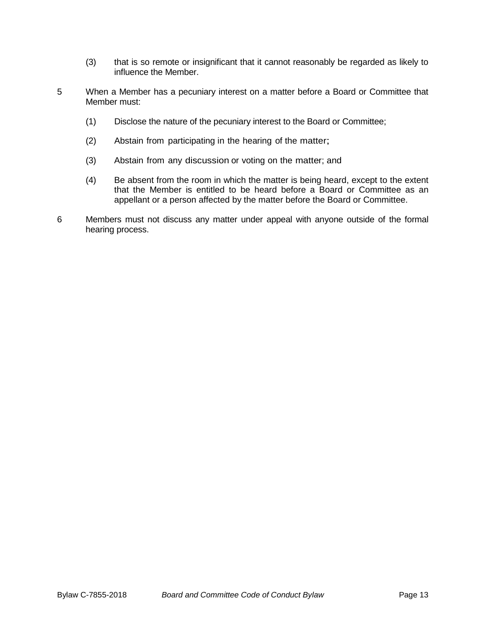- (3) that is so remote or insignificant that it cannot reasonably be regarded as likely to influence the Member.
- 5 When a Member has a pecuniary interest on a matter before a Board or Committee that Member must:
	- (1) Disclose the nature of the pecuniary interest to the Board or Committee;
	- (2) Abstain from participating in the hearing of the matter;
	- (3) Abstain from any discussion or voting on the matter; and
	- (4) Be absent from the room in which the matter is being heard, except to the extent that the Member is entitled to be heard before a Board or Committee as an appellant or a person affected by the matter before the Board or Committee.
- 6 Members must not discuss any matter under appeal with anyone outside of the formal hearing process.